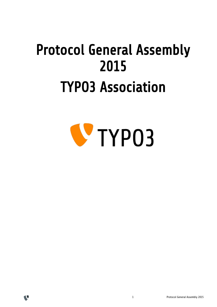# Protocol General Assembly 2015 TYPO3 Association





U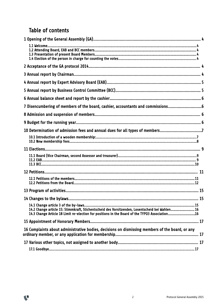# Table of contents

V

| 7 Disencumbering of members of the board, cashier, accountants and commissions6                                                                                                                   |  |
|---------------------------------------------------------------------------------------------------------------------------------------------------------------------------------------------------|--|
|                                                                                                                                                                                                   |  |
|                                                                                                                                                                                                   |  |
| 10 Determination of admission fees and annual dues for all types of members7                                                                                                                      |  |
|                                                                                                                                                                                                   |  |
|                                                                                                                                                                                                   |  |
|                                                                                                                                                                                                   |  |
|                                                                                                                                                                                                   |  |
|                                                                                                                                                                                                   |  |
|                                                                                                                                                                                                   |  |
|                                                                                                                                                                                                   |  |
| 14.2 Change article 15: Stimmkraft, Stichentscheid des Vorsitzenden, Losentscheid bei Wahlen 16<br>14.3 Change Article 18 Limit re-election for positions in the Board of the TYP03 Association16 |  |
|                                                                                                                                                                                                   |  |
| 16 Complaints about administrative bodies, decisions on dismissing members of the board, or any<br>ordinary member, or any application for membership………………………………………………………………………………… 17           |  |
|                                                                                                                                                                                                   |  |
|                                                                                                                                                                                                   |  |

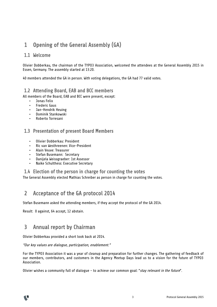# 1 Opening of the General Assembly (GA)

## 1.1 Welcome

Olivier Dobberkau, the chairman of the TYPO3 Association, welcomed the attendees at the General Assembly 2015 in Essen, Germany. The assembly started at 13:20.

40 members attended the GA in person. With voting delegations, the GA had 77 valid votes.

## 1.2 Attending Board, EAB and BCC members

All members of the Board, EAB and BCC were present, except:

- Jonas Felix
- Frederic Gaus
- Jan-Hendrik Heuing
- Dominik Stankowski
- Roberto Torresani

## 1.3 Presentation of present Board Members

- Olivier Dobberkau: President
- Ric van Westhreenen: Vice-President
- Alain Veuve: Treasurer
- Stefan Busemann: Secretary
- Danijela Weissgraeber: 1st Assessor
- Naike Schulthess: Executive Secretary

#### 1.4 Election of the person in charge for counting the votes

The General Assembly elected Mathias Schreiber as person in charge for counting the votes.

# 2 Acceptance of the GA protocol 2014

Stefan Busemann asked the attending members, if they accept the protocol of the GA 2014.

Result: 0 against, 64 accept, 12 abstain.

# 3 Annual report by Chairman

Olivier Dobberkau provided a short look back at 2014.

"Our key values are dialogue, participation, enablement."

For the TYPO3 Association it was a year of cleanup and preparation for further changes. The gathering of feedback of our members, contributors, and customers in the Agency Meetup Days lead us to a vision for the future of TYPO3 Association.

Olivier wishes a community full of dialogue - to achieve our common goal: "stay relevant in the future".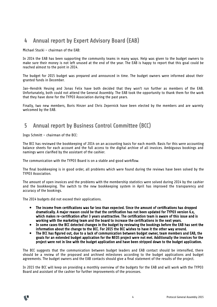# 4 Annual report by Expert Advisory Board (EAB)

Michael Stucki – chairman of the EAB:

In 2014 the EAB has been supporting the community teams in many ways. Help was given to the budget owners to make sure their money is not left unused at the end of the year. The EAB is happy to report that this goal could be reached almost to the point in 2014.

The budget for 2015 budget was prepared and announced in time. The budget owners were informed about their granted funds in December.

Jan-Hendrik Heuing and Jonas Felix have both decided that they won't run further as members of the EAB. Unfortunately, both could not attend the General Assembly. The EAB took the opportunity to thank them for the work that they have done for the TYPO3 Association during the past years.

Finally, two new members, Boris Hinzer and Chris Zepernick have been elected by the members and are warmly welcomed by the EAB.

# 5 Annual report by Business Control Committee (BCC)

Ingo Schmitt – chairman of the BCC:

The BCC has reviewed the bookkeeping of 2014 on an accounting basis for each month. Basis for this were accounting balance sheets for each account and the full access to the digital archive of all invoices. Ambiguous bookings and namings were clarified by the assistant of the cashier.

The communication with the TYPO3 Board is on a stable and good workflow.

The final bookkeeping is in good order, all problems which were found during the reviews have been solved by the TYPO3 Association.

The amount of open invoices and the problems with the membership statistics were solved during 2014 by the cashier and the bookkeeping. The switch to the new bookkeeping system in April has improved the transparency and accuracy of the bookings.

The 2014 budgets did not exceed their applications.

- The income from certifications was far less than expected. Since the amount of certifications has dropped dramatically. A major reason could be that the certification has not been updated for TYPO3 version 6.x, which makes re-certification after 3 years unattractive. The certification team is aware of this issue and is working with the marketing team and the board to increase the certifications in the next years.
- In some cases the BCC detected changes in the budget by reviewing the bookings before the EAB has sent the information about the change to the BCC. For 2015 the BCC wishes to have it the other way around.
- The BCC has figured out, due to a lack of communication between budget owner, team members and EAB, the goals for an extended budget application for the NEOS project were not met. Additionally the invoices for the project were not in line with the budget application and have been stripped down to the budget application.

The BCC suggests that the communication between budget leaders and EAB contact should be intensified, there should be a review of the proposed and archived milestones according to the budget applications and budget agreements. The budget owners and the EAB contacts should give a final statement of the results of the project.

In 2015 the BCC will keep on providing a monthly overview of the budgets for the EAB and will work with the TYPO3 Board and assistant of the cashier for further improvements of the processes.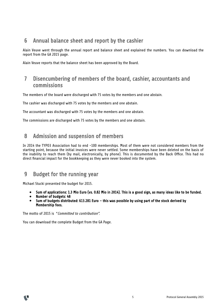# 6 Annual balance sheet and report by the cashier

Alain Veuve went through the annual report and balance sheet and explained the numbers. You can download the report from the GA 2015 page.

Alain Veuve reports that the balance sheet has been approved by the Board.

## 7 Disencumbering of members of the board, cashier, accountants and commissions

The members of the board were discharged with 75 votes by the members and one abstain.

The cashier was discharged with 75 votes by the members and one abstain.

The accountant was discharged with 75 votes by the members and one abstain.

The commissions are discharged with 75 votes by the members and one abstain.

# 8 Admission and suspension of members

In 2014 the TYPO3 Association had to end ~100 memberships. Most of them were not considered members from the starting point, because the initial invoices were never settled. Some memberships have been deleted on the basis of the inability to reach them (by mail, electronically, by phone). This is documented by the Back Office. This had no direct financial impact for the bookkeeping as they were never booked into the system.

# 9 Budget for the running year

Michael Stucki presented the budget for 2015.

- Sum of applications: 1.3 Mio Euro (vs. 0.82 Mio in 2014). This is a good sign, as many ideas like to be funded.
- Number of budgets: 48
- Sum of budgets distributed: 613.281 Euro this was possible by using part of the stock derived by Membership fees.

The motto of 2015 is "Committed to contribution".

You can download the complete Budget from the GA Page.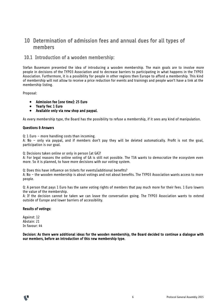## 10 Determination of admission fees and annual dues for all types of members

## 10.1 Introduction of a wooden membership:

Stefan Busemann presented the idea of introducing a wooden membership. The main goals are to involve more people in decisions of the TYPO3 Association and to decrease barriers to participating in what happens in the TYPO3 Association. Furthermore, it is a possibility for people in other regions then Europe to afford a membership. This kind of membership will not allow to receive a price reduction for events and trainings and people won't have a link at the membership listing.

Proposal:

- Admission fee (one time): 25 Euro
- Yearly fee: 1 Euro
- Available only via new shop and paypal.

As every membership type, the Board has the possibility to refuse a membership, if it sees any kind of manipulation.

#### Questions & Answers

Q: 1 Euro – more handling costs than incoming.

A: No – only via paypal, and if members don't pay they will be deleted automatically. Profit is not the goal, participation is our goal.

Q: Decisions taken online or only in person (at GA)?

A: For legal reasons the online voting of GA is still not possible. The T3A wants to democratize the ecosystem even more. So it is planned, to have more decisions with our voting system.

Q: Does this have influence on tickets for events/additional benefits?

A: No – the wooden membership is about votings and not about benefits. The TYPO3 Association wants access to more people.

Q: A person that pays 1 Euro has the same voting rights of members that pay much more for their fees. 1 Euro lowers the value of the membership.

A: If the decision cannot be taken we can leave the conversation going. The TYPO3 Association wants to extend outside of Europe and lower barriers of accessibility.

#### Results of votings:

Against: 12 Abstain: 21 In favour: 44

Decision: As there were additional ideas for the wooden membership, the Board decided to continue a dialogue with our members, before an introduction of this new membership type.

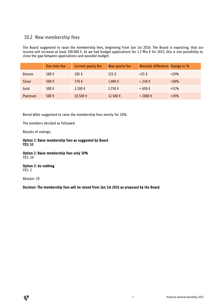## 10.2 New membership fees

The Board suggested to raise the membership fees, beginning from Jan 1st 2016. The Board is expecting, that our income will increase at least 100.000 €. As we had budget applications for 1.2 Mio € for 2015, this is one possibility to close the gap between applications and possible budget.

|               | One time fee   | Current yearly fee | New yearly fee    | Absolute difference Change in % |        |
|---------------|----------------|--------------------|-------------------|---------------------------------|--------|
| <b>Bronze</b> | 100 $\epsilon$ | 105 $\epsilon$     | 125 $$\epsilon$$  | +25 $\epsilon$                  | $+19%$ |
| Silver        | 500 $\epsilon$ | 770 $\epsilon$     | 1.000 $\epsilon$  | + 230 $\epsilon$                | $+30%$ |
| Gold          | 500 $\epsilon$ | $2.100 \text{€}$   | 2.750€            | + 650 €                         | $+31%$ |
| Platinum      | 500 $\epsilon$ | 10.500 €           | $12.500 \text{€}$ | + 2000 $\epsilon$               | $+19%$ |

Bernd Wilke suggested to raise the membership fees evenly for 10%.

The members decided as followed:

Results of votings:

Option 1: Raise membership fees as suggested by Board YES: 55

Option 2: Raise membership fees only 10% YES: 10

Option 3: do nothing YES: 2

Abstain: 10

Decision: The membership fees will be raised from Jan 1st 2016 as proposed by the Board.

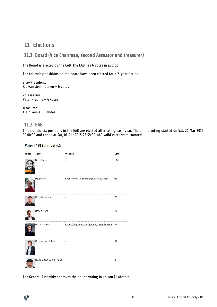# 11 Elections

## 11.1 Board (Vice Chairman, second Assessor and treasurer)

The Board is elected by the EAB. The EAB has 6 votes in addition.

The following positions on the board have been elected for a 2-year period:

Vice-President: Ric van Westhreenen – 6 votes

2n Assessor: Peter Kraume – 6 votes

Treasurer: Alain Veuve – 6 votes

## 11.2 EAB

Three of the six positions in the EAB are elected alternating each year. The online voting started on Sat, 21 Mar 2015 00:00:00 and ended at Sat, 04 Apr 2015 23:59:00. 469 valid votes were counted.

#### Votes (469 total votes):

| Image | <b>Name</b>              | <b>Website</b>                                  | <b>Votes</b>   |
|-------|--------------------------|-------------------------------------------------|----------------|
|       | <b>Boris Hinzer</b>      |                                                 | 104            |
|       | Peter Pröll              | https://www.xing.com/profile/Peter_Proell       | 96             |
|       | Chris Zepernick          |                                                 | 75             |
|       | Robert Lindh             |                                                 | 70             |
|       | Philipp Gampe            | https://forge.typo3.org/boards/25/topics/682 69 |                |
|       | Christopher Hlubek       |                                                 | 53             |
|       | Ravishankar Lalman Patel |                                                 | $\overline{c}$ |

The General Assembly approves the online voting in unison (1 abstain).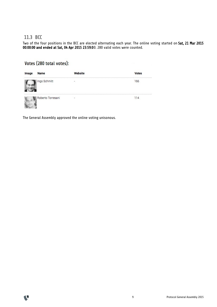## 11.3 BCC

Two of the four positions in the BCC are elected alternating each year. The online voting started on **Sat, 21 Mar 2015** 00:00:00 and ended at Sat, 04 Apr 2015 23:59:00. 280 valid votes were counted.

# Votes (280 total votes):

| Image | <b>Name</b>       | Website | Votes |
|-------|-------------------|---------|-------|
|       | Ingo Schmitt      |         | 166   |
|       | Roberto Torresani |         | 114   |

The General Assembly approved the online voting unisonous.

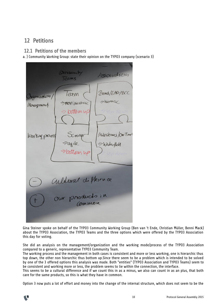# 12 Petitions

## 12.1 Petitions of the members

a. ) Community Working Group: state their opinion on the TYPO3 company (scenario 3)



Gina Steiner spoke on behalf of the TYPO3 Community Working Group (Ben van 't Ende, Christian Müller, Benni Mack) about the TYPO3 Association, the TYPO3 Teams and the three options which were offered by the TYPO3 Association this day for voting.

She did an analysis on the management/organization and the working mode/process of the TYPO3 Association compared to a generic, representative TYPO3 Community Team.

The working process and the management in both cases is consistent and more or less working, one is hierarchic thus top down, the other non hierarchic thus bottom up.Since there seem to be a problem which is intended to be solved by one of the 3 offered options this analysis was made. Both "entities" (TYPO3 Association and TYPO3 Teams) seem to be consistent and working more or less, the problem seems to lie within the connection, the interface.

This seems to be a cultural difference and if we count this in as a minus, we also can count in as an plus, that both care for the same products, so this is what they have in common.

Option 3 now puts a lot of effort and money into the change of the internal structure, which does not seem to be the

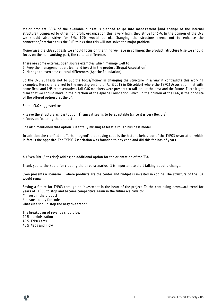major problem. 38% of the available budget is planned to go into management (and change of the internal structure). Compared to other non profit organization this is very high, they strive for 5%. In the opinion of the CWG we should also strive for 5%, 10% would be ok. Changing the structure seems not to enhance the connection/interface thus the CWG thinks that this will not solve the major problem.

Moneywise the CWG suggests we should focus on the thing we have in common: the product. Structure Wise we should focus on the non working part, the cultural difference.

- There are some external open source examples which manage well to
- 1. Keep the management part lean and invest in the product (Drupal Association)
- 2. Manage to overcome cultural differences (Apache Foundation)

So the CWG suggests not to put the focus/money in changing the structure in a way it contradicts this working examples. Here she referred to the meeting on 2nd of April 2015 in Düsseldorf where the TYPO3 Association met with some Neos and CMS representatives (all CWG members were present) to talk about the past and the future. There it got clear that we should move in the direction of the Apache Foundation which, in the opinion of the CWG, is the opposite of the offered option 3 at the GA.

So the CWG suggested to:

- leave the structure as it is (option 1) since it seems to be adaptable (since it is very flexible)

- focus on fostering the product

She also mentioned that option 3 is totally missing at least a rough business model.

In addition she clarified the "urban legend" that paying code is the historic behaviour of the TYPO3 Association which in fact is the opposite. The TYPO3 Association was founded to pay code and did this for lots of years.

b.) Sven Ditz (Sitegeist): Adding an additional option for the orientation of the T3A

Thank you to the Board for creating the three scenarios. It is important to start talking about a change.

Sven presents a scenario – where products are the center and budget is invested in coding. The structure of the T3A would remain.

Saving a future for TYPO3 through an investment in the heart of the project. To the continuing downward trend for years of TYPO3 to stop and become competitive again in the future we have to:

\* invest in the product \* means to pay for code What else should stop the negative trend?

The breakdown of revenue should be: 10% administration 45% TYPO3 cms 45% Neos and Flow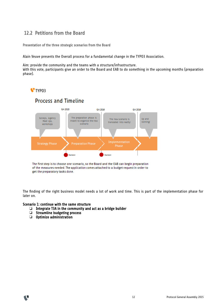## 12.2 Petitions from the Board

Presentation of the three strategic scenarios from the Board

Alain Veuve presents the Overall process for a fundamental change in the TYPO3 Association.

Aim: provide the community and the teams with a structure/infrastructure. With this vote, participants give an order to the Board and EAB to do something in the upcoming months (preparation phase).



# **Process and Timeline**



The first step is to choose one scenario, so the Board and the EAB can begin preparation of the measures needed. The application comes attached to a budget request in order to get the preparatory tasks done.

The finding of the right business model needs a lot of work and time. This is part of the implementation phase for later on.

Scenario 1: continue with the same structure

- ❏ Integrate T3A in the community and act as a bridge builder
- ❏ Streamline budgeting process
- ❏ Optimize administration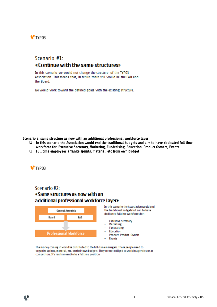

# Scenario #1: «Continue with the same structures»

In this scenario we would not change the structure of the TYP03 Association. This means that, in future there still would be the EAB and the Board

We would work toward the defined goals with the existing structure.

Scenario 2: same structure as now with an additional professional workforce layer

- ❏ In this scenario the Association would end the traditional budgets and aim to have dedicated full time workforce for: Executive Secretary, Marketing, Fundraising, Education, Product Owners, Events
- ❏ Full time employees arrange sprints, material, etc from own budget



## Scenario#2: «Same structures as now with an additional professional workforce layer»



In this scenario the Association would end the traditional budgets but aim to have dedicated fulltime workforces for:

- **Executive Secretary**
- Marketing Fundraising
- Education
- Product-Product-Owners
- a. Events

The money coming in would be distributed to the full-time managers. These people need to organize sprints, material, etc. on their own budgets. They are not obliged to work in agencies or at competitors. It's really meant to be a fulltime position.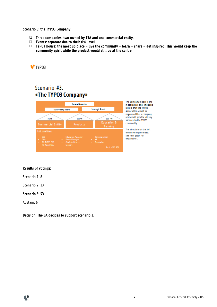Scenario 3: the TYPO3 Company

- ❏ Three companies: two owned by T3A and one commercial entity.
- ❏ Events: separate due to their risk level
- ❏ TYPO3 house: the meet up place live the community learn share get inspired. This would keep the community spirit while the product would still be at the centre

V<sub>TYP03</sub>

# Scenario #3: «The TYPO3 Company»



The Company model is the most radical one. The basic Idea Is that the TYP03 Association would be organized like a company and would provide all key services to the TYP03 community.

The structure on the left would be implemented. See next page for explanation.

#### Results of votings:

Scenario 1: 8

Scenario 2: 13

#### Scenario 3: 53

Abstain: 6

#### Decision: The GA decides to support scenario 3.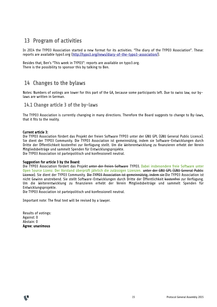# 13 Program of activities

In 2014 the TYPO3 Association started a new format for its activities. "The diary of the TYPO3 Association". These: reports are available typo3.org (http://typo3.org/news/diary-of-the-typo3-association/).

Besides that, Ben's "This week in TYPO3": reports are available on typo3.org. There is the possibility to sponsor this by talking to Ben.

## 14 Changes to the bylaws

Notes: Numbers of votings are lower for this part of the GA, because some participants left. Due to swiss law, our bylaws are written in German.

#### 14.1 Change article 3 of the by-laws

The TYPO3 Association is currently changing in many directions. Therefore the Board suggests to change to By-laws, that it fits to the reality.

#### Current article 3:

Die TYPO3 Association fördert das Projekt der freien Software TYPO3 unter der GNU GPL (GNU General Public Licence). Sie dient der TYPO3 Community. Die TYPO3 Association ist gemeinnützig, indem sie Software-Entwicklungen durch Dritte der Öffentlichkeit kostenfrei zur Verfügung stellt. Um die Weiterentwicklung zu finanzieren erhebt der Verein Mitgliedsbeiträge und sammelt Spenden für Entwicklungsprojekte.

Die TYPO3 Association ist parteipolitisch und konfessionell neutral.

#### Suggestion for article 3 by the Board:

Die TYPO3 Association fördert das Projekt unter der freien Software TYPO3. Dabei insbesondere freie Software unter Open Source Lizenz. Der Vorstand überprüft jährlich die zulässigen Lizenzen. unter der GNU GPL (GNU General Public Licence). Sie dient der TYPO3 Community. Die TYPO3 Association ist gemeinnützig, indem sie Die TYPO3 Association ist nicht Gewinn anstrebend. Sie stellt Software-Entwicklungen durch Dritte der Öffentlichkeit kostenfrei zur Verfügung. Um die Weiterentwicklung zu finanzieren erhebt der Verein Mitgliedsbeiträge und sammelt Spenden für Entwicklungsprojekte.

Die TYPO3 Association ist parteipolitisch und konfessionell neutral.

Important note: The final text will be revised by a lawyer.

Results of votings: Against: 0 Abstain: 0 Agree: unanimous

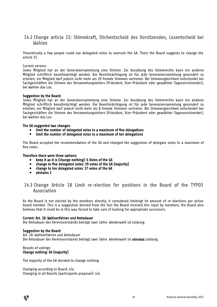## 14.2 Change article 15: Stimmkraft, Stichentscheid des Vorsitzenden, Losentscheid bei Wahlen

Theoretically a few people could use delegated votes to overrule the GA. There the Board suggests to change the article 15.

Current version:

Jedes Mitglied hat an der Generalversammlung eine Stimme. Zur Ausübung des Stimmrechts kann ein anderes Mitglied schriftlich bevollmächtigt werden. Die Bevollmächtigung ist für jede Generalversammlung gesondert zu erteilen; ein Mitglied darf jedoch nicht mehr als 20 fremde Stimmen vertreten. Bei Stimmengleichheit entscheidet bei Sachgeschäften die Stimme des Versammlungsleiters (Präsident, Vize-Präsident oder gewählter Tagesvorsitzender), bei Wahlen das Los.

#### Suggestion by the Board:

Jedes Mitglied hat an der Generalversammlung eine Stimme. Zur Ausübung des Stimmrechts kann ein anderes Mitglied schriftlich bevollmächtigt werden. Die Bevollmächtigung ist für jede Generalversammlung gesondert zu erteilen; ein Mitglied darf jedoch nicht mehr als 3 fremde Stimmen vertreten. Bei Stimmengleichheit entscheidet bei Sachgeschäften die Stimme des Versammlungsleiters (Präsident, Vize-Präsident oder gewählter Tagesvorsitzender), bei Wahlen das Los.

#### The GA suggested two changes:

- limit the number of delegated votes to a maximum of five delegations
- limit the number of delegated votes to a maximum of ten delegations

The Board accepted the recommendation of the GA and changed the suggestion of delegate votes to a maximum of five votes.

#### Therefore there were three options:

- keep it as it is (change nothing): 6 Votes of the GA
- change to five delegated votes: 39 votes of the GA (majority)
- change to ten delegated votes: 17 votes of the GA
- abstains 1

## 14.3 Change Article 18 Limit re-election for positions in the Board of the TYPO3 **Association**

As the Board is not elected by the members directly, it considered limitingt he amount of re-elections per active board member. This is a suggestion derived from the fact the Board received this input by members; the Board also believes that it could be in this way forced to take care of looking for appropriate successors.

#### Current: Art. 18: Wahlverfahren und Amtsdauer

Die Amtsdauer des Vereinsvorstands beträgt zwei Jahre. Wiederwahl ist zulässig.

#### Suggestion by the Board:

Art. 18: Wahlverfahren und Amtsdauer Die Amtsdauer des Vereinsvorstands beträgt zwei Jahre. Wiederwahl ist einnmal zulässig.

#### Results of votings: Change nothing: 40 (majority)

The majority of the GA decided to change nothing.

Changing according to Board: n/a Changing in all Boards (participants proposal): n/a